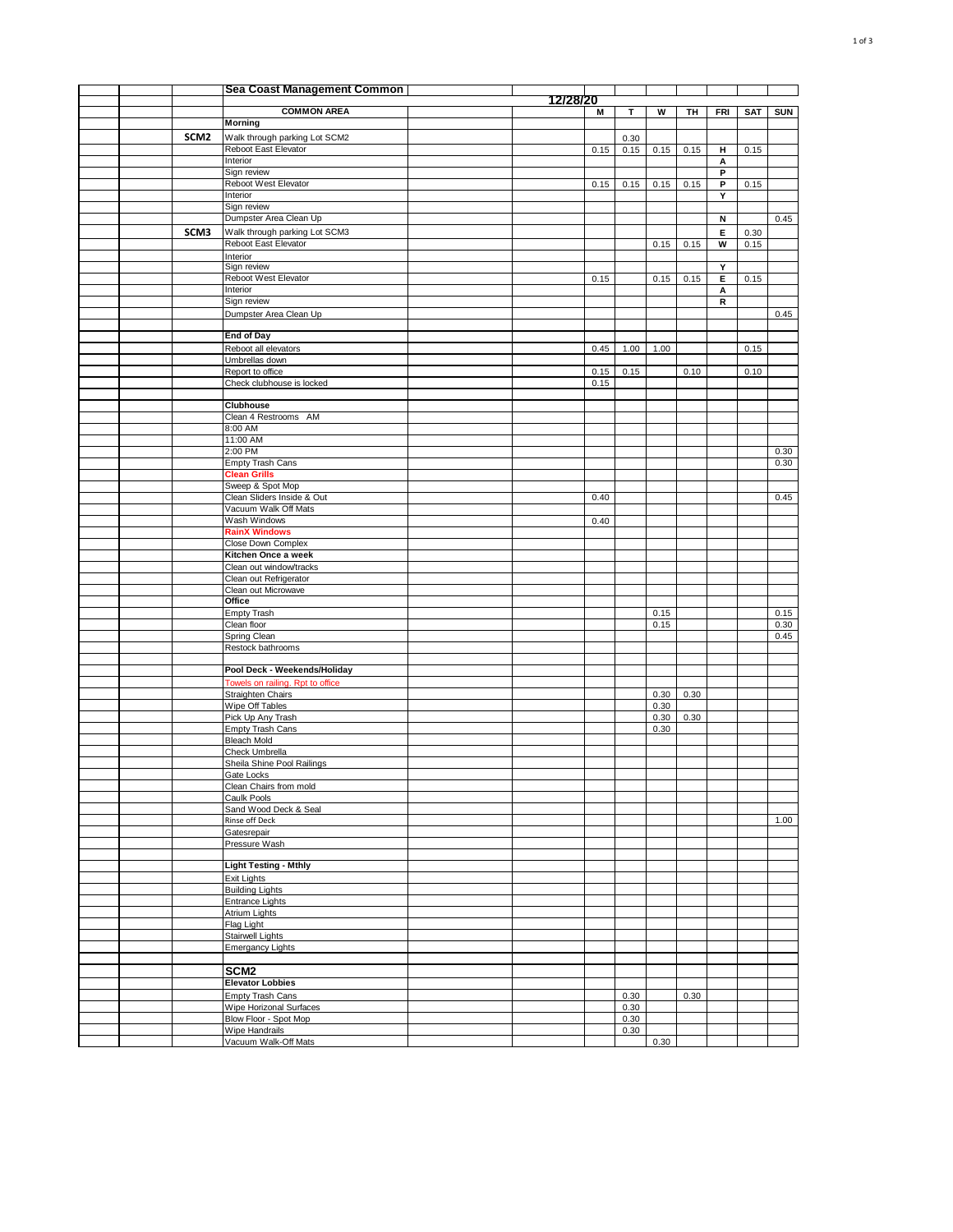|  |                  | Sea Coast Management Common                    |          |      |      |              |      |            |      |            |
|--|------------------|------------------------------------------------|----------|------|------|--------------|------|------------|------|------------|
|  |                  | <b>COMMON AREA</b>                             | 12/28/20 |      | т    | W            | TH   |            |      |            |
|  |                  | Morning                                        |          | M    |      |              |      | <b>FRI</b> | SAT  | <b>SUN</b> |
|  | SCM <sub>2</sub> | Walk through parking Lot SCM2                  |          |      | 0.30 |              |      |            |      |            |
|  |                  | Reboot East Elevator                           |          | 0.15 | 0.15 | 0.15         | 0.15 | н          | 0.15 |            |
|  |                  | Interior                                       |          |      |      |              |      | А          |      |            |
|  |                  | Sign review                                    |          |      |      |              |      | P          |      |            |
|  |                  | Reboot West Elevator                           |          | 0.15 | 0.15 | 0.15         | 0.15 | P          | 0.15 |            |
|  |                  | Interior                                       |          |      |      |              |      | Y          |      |            |
|  |                  | Sign review                                    |          |      |      |              |      |            |      |            |
|  |                  | Dumpster Area Clean Up                         |          |      |      |              |      | N          |      | 0.45       |
|  | SCM3             | Walk through parking Lot SCM3                  |          |      |      |              |      | Е          | 0.30 |            |
|  |                  | Reboot East Elevator<br>Interior               |          |      |      | 0.15         | 0.15 | W          | 0.15 |            |
|  |                  | Sign review                                    |          |      |      |              |      | Y          |      |            |
|  |                  | Reboot West Elevator                           |          | 0.15 |      | 0.15         | 0.15 | Е          | 0.15 |            |
|  |                  | Interior                                       |          |      |      |              |      | А          |      |            |
|  |                  | Sign review                                    |          |      |      |              |      | R          |      |            |
|  |                  | Dumpster Area Clean Up                         |          |      |      |              |      |            |      | 0.45       |
|  |                  |                                                |          |      |      |              |      |            |      |            |
|  |                  | <b>End of Day</b>                              |          |      |      |              |      |            |      |            |
|  |                  | Reboot all elevators                           |          | 0.45 | 1.00 | 1.00         |      |            | 0.15 |            |
|  |                  | Umbrellas down<br>Report to office             |          | 0.15 | 0.15 |              | 0.10 |            | 0.10 |            |
|  |                  | Check clubhouse is locked                      |          | 0.15 |      |              |      |            |      |            |
|  |                  |                                                |          |      |      |              |      |            |      |            |
|  |                  | Clubhouse                                      |          |      |      |              |      |            |      |            |
|  |                  | Clean 4 Restrooms AM                           |          |      |      |              |      |            |      |            |
|  |                  | 8:00 AM                                        |          |      |      |              |      |            |      |            |
|  |                  | 11:00 AM                                       |          |      |      |              |      |            |      |            |
|  |                  | 2:00 PM                                        |          |      |      |              |      |            |      | 0.30       |
|  |                  | <b>Empty Trash Cans</b><br><b>Clean Grills</b> |          |      |      |              |      |            |      | 0.30       |
|  |                  | Sweep & Spot Mop                               |          |      |      |              |      |            |      |            |
|  |                  | Clean Sliders Inside & Out                     |          | 0.40 |      |              |      |            |      | 0.45       |
|  |                  | Vacuum Walk Off Mats                           |          |      |      |              |      |            |      |            |
|  |                  | Wash Windows                                   |          | 0.40 |      |              |      |            |      |            |
|  |                  | <b>RainX Windows</b>                           |          |      |      |              |      |            |      |            |
|  |                  | Close Down Complex                             |          |      |      |              |      |            |      |            |
|  |                  | Kitchen Once a week                            |          |      |      |              |      |            |      |            |
|  |                  | Clean out window/tracks                        |          |      |      |              |      |            |      |            |
|  |                  | Clean out Refrigerator                         |          |      |      |              |      |            |      |            |
|  |                  | Clean out Microwave<br>Office                  |          |      |      |              |      |            |      |            |
|  |                  | Empty Trash                                    |          |      |      | 0.15         |      |            |      | 0.15       |
|  |                  | Clean floor                                    |          |      |      | 0.15         |      |            |      | 0.30       |
|  |                  | Spring Clean                                   |          |      |      |              |      |            |      | 0.45       |
|  |                  | Restock bathrooms                              |          |      |      |              |      |            |      |            |
|  |                  |                                                |          |      |      |              |      |            |      |            |
|  |                  | Pool Deck - Weekends/Holiday                   |          |      |      |              |      |            |      |            |
|  |                  | Towels on railing. Rpt to office               |          |      |      |              |      |            |      |            |
|  |                  | Straighten Chairs                              |          |      |      | 0.30         | 0.30 |            |      |            |
|  |                  | Wipe Off Tables                                |          |      |      | 0.30         |      |            |      |            |
|  |                  | Pick Up Any Trash<br>Empty Trash Cans          |          |      |      | 0.30<br>0.30 | 0.30 |            |      |            |
|  |                  | Bleach Mold                                    |          |      |      |              |      |            |      |            |
|  |                  | Check Umbrella                                 |          |      |      |              |      |            |      |            |
|  |                  | Sheila Shine Pool Railings                     |          |      |      |              |      |            |      |            |
|  |                  | Gate Locks                                     |          |      |      |              |      |            |      |            |
|  |                  | Clean Chairs from mold                         |          |      |      |              |      |            |      |            |
|  |                  | Caulk Pools                                    |          |      |      |              |      |            |      |            |
|  |                  | Sand Wood Deck & Seal<br>Rinse off Deck        |          |      |      |              |      |            |      | 1.00       |
|  |                  | Gatesrepair                                    |          |      |      |              |      |            |      |            |
|  |                  | Pressure Wash                                  |          |      |      |              |      |            |      |            |
|  |                  |                                                |          |      |      |              |      |            |      |            |
|  |                  | <b>Light Testing - Mthly</b>                   |          |      |      |              |      |            |      |            |
|  |                  | Exit Lights                                    |          |      |      |              |      |            |      |            |
|  |                  | <b>Building Lights</b>                         |          |      |      |              |      |            |      |            |
|  |                  | Entrance Lights                                |          |      |      |              |      |            |      |            |
|  |                  | Atrium Lights                                  |          |      |      |              |      |            |      |            |
|  |                  | Flag Light                                     |          |      |      |              |      |            |      |            |
|  |                  | <b>Stairwell Lights</b>                        |          |      |      |              |      |            |      |            |
|  |                  | <b>Emergancy Lights</b>                        |          |      |      |              |      |            |      |            |
|  |                  | SCM <sub>2</sub>                               |          |      |      |              |      |            |      |            |
|  |                  | <b>Elevator Lobbies</b>                        |          |      |      |              |      |            |      |            |
|  |                  | Empty Trash Cans                               |          |      | 0.30 |              | 0.30 |            |      |            |
|  |                  | Wipe Horizonal Surfaces                        |          |      | 0.30 |              |      |            |      |            |
|  |                  | Blow Floor - Spot Mop                          |          |      | 0.30 |              |      |            |      |            |
|  |                  | Wipe Handrails                                 |          |      | 0.30 |              |      |            |      |            |
|  |                  | Vacuum Walk-Off Mats                           |          |      |      | 0.30         |      |            |      |            |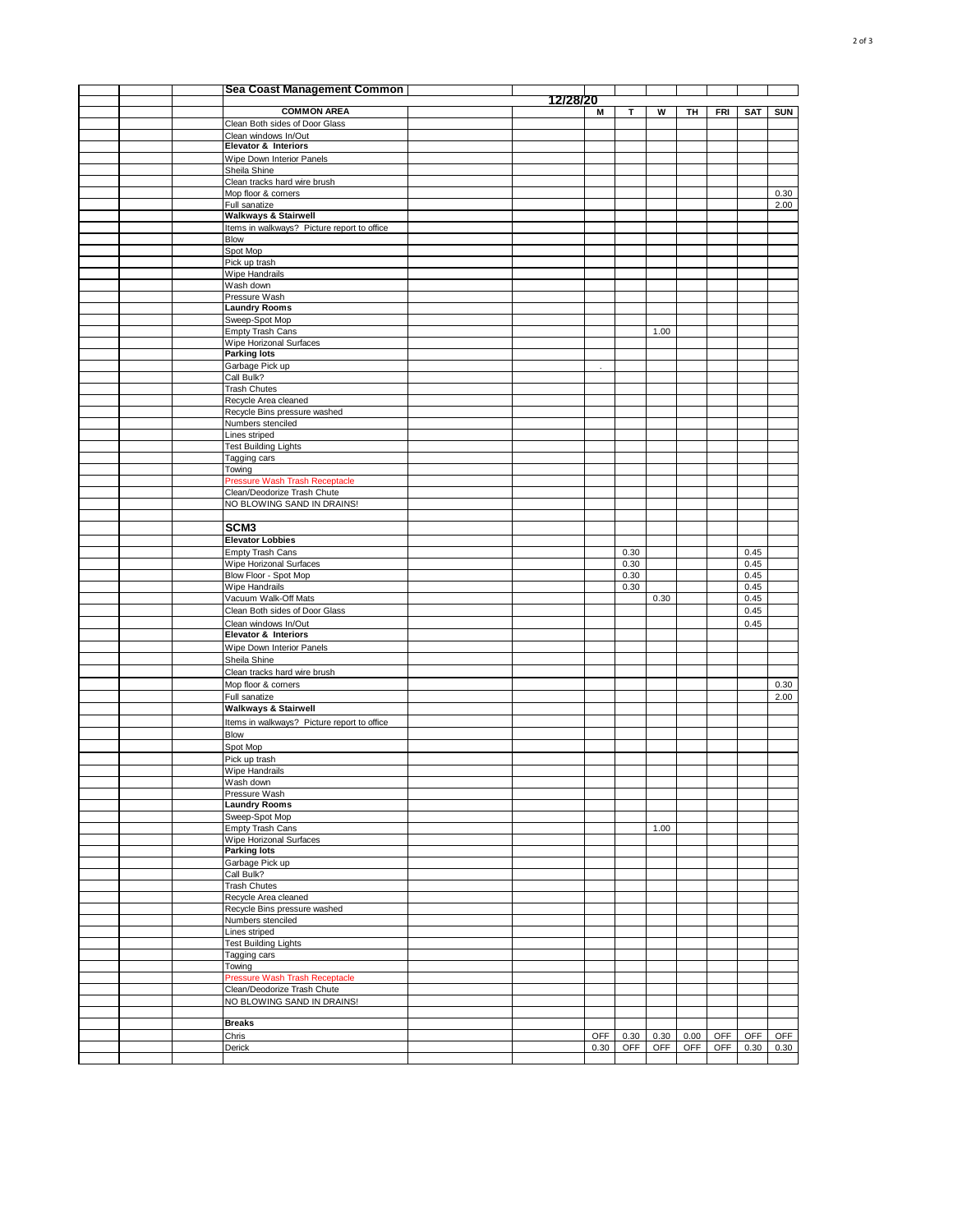|  | Sea Coast Management Common                      |               |              |      |      |            |              |            |
|--|--------------------------------------------------|---------------|--------------|------|------|------------|--------------|------------|
|  | <b>COMMON AREA</b>                               | 12/28/20<br>М | т            | W    | TН   | FRI        | SAT          | <b>SUN</b> |
|  | Clean Both sides of Door Glass                   |               |              |      |      |            |              |            |
|  | Clean windows In/Out                             |               |              |      |      |            |              |            |
|  | <b>Elevator &amp; Interiors</b>                  |               |              |      |      |            |              |            |
|  | Wipe Down Interior Panels                        |               |              |      |      |            |              |            |
|  | Sheila Shine                                     |               |              |      |      |            |              |            |
|  | Clean tracks hard wire brush                     |               |              |      |      |            |              |            |
|  | Mop floor & corners                              |               |              |      |      |            |              | 0.30       |
|  | Full sanatize<br><b>Walkways &amp; Stairwell</b> |               |              |      |      |            |              | 2.00       |
|  | Items in walkways? Picture report to office      |               |              |      |      |            |              |            |
|  | Blow                                             |               |              |      |      |            |              |            |
|  | Spot Mop                                         |               |              |      |      |            |              |            |
|  | Pick up trash                                    |               |              |      |      |            |              |            |
|  | Wipe Handrails                                   |               |              |      |      |            |              |            |
|  | Wash down                                        |               |              |      |      |            |              |            |
|  | Pressure Wash                                    |               |              |      |      |            |              |            |
|  | <b>Laundry Rooms</b>                             |               |              |      |      |            |              |            |
|  | Sweep-Spot Mop<br>Empty Trash Cans               |               |              | 1.00 |      |            |              |            |
|  | Wipe Horizonal Surfaces                          |               |              |      |      |            |              |            |
|  | <b>Parking lots</b>                              |               |              |      |      |            |              |            |
|  | Garbage Pick up                                  |               |              |      |      |            |              |            |
|  | Call Bulk?                                       |               |              |      |      |            |              |            |
|  | <b>Trash Chutes</b>                              |               |              |      |      |            |              |            |
|  | Recycle Area cleaned                             |               |              |      |      |            |              |            |
|  | Recycle Bins pressure washed                     |               |              |      |      |            |              |            |
|  | Numbers stenciled                                |               |              |      |      |            |              |            |
|  | Lines striped<br><b>Test Building Lights</b>     |               |              |      |      |            |              |            |
|  | Tagging cars                                     |               |              |      |      |            |              |            |
|  | Towing                                           |               |              |      |      |            |              |            |
|  | Pressure Wash Trash Receptacle                   |               |              |      |      |            |              |            |
|  | Clean/Deodorize Trash Chute                      |               |              |      |      |            |              |            |
|  | NO BLOWING SAND IN DRAINS!                       |               |              |      |      |            |              |            |
|  |                                                  |               |              |      |      |            |              |            |
|  | SCM <sub>3</sub>                                 |               |              |      |      |            |              |            |
|  | <b>Elevator Lobbies</b>                          |               |              |      |      |            |              |            |
|  | <b>Empty Trash Cans</b>                          |               | 0.30         |      |      |            | 0.45         |            |
|  | Wipe Horizonal Surfaces                          |               | 0.30<br>0.30 |      |      |            | 0.45<br>0.45 |            |
|  | Blow Floor - Spot Mop<br>Wipe Handrails          |               | 0.30         |      |      |            | 0.45         |            |
|  | Vacuum Walk-Off Mats                             |               |              | 0.30 |      |            | 0.45         |            |
|  | Clean Both sides of Door Glass                   |               |              |      |      |            | 0.45         |            |
|  | Clean windows In/Out                             |               |              |      |      |            | 0.45         |            |
|  | <b>Elevator &amp; Interiors</b>                  |               |              |      |      |            |              |            |
|  | Wipe Down Interior Panels                        |               |              |      |      |            |              |            |
|  | Sheila Shine                                     |               |              |      |      |            |              |            |
|  | Clean tracks hard wire brush                     |               |              |      |      |            |              |            |
|  | Mop floor & corners                              |               |              |      |      |            |              | 0.30       |
|  | Full sanatize                                    |               |              |      |      |            |              | 2.00       |
|  | <b>Walkways &amp; Stairwell</b>                  |               |              |      |      |            |              |            |
|  | Items in walkways? Picture report to office      |               |              |      |      |            |              |            |
|  | Blow                                             |               |              |      |      |            |              |            |
|  | Spot Mop                                         |               |              |      |      |            |              |            |
|  | Pick up trash                                    |               |              |      |      |            |              |            |
|  | Wipe Handrails<br>Wash down                      |               |              |      |      |            |              |            |
|  | Pressure Wash                                    |               |              |      |      |            |              |            |
|  | <b>Laundry Rooms</b>                             |               |              |      |      |            |              |            |
|  | Sweep-Spot Mop                                   |               |              |      |      |            |              |            |
|  | Empty Trash Cans                                 |               |              | 1.00 |      |            |              |            |
|  | Wipe Horizonal Surfaces                          |               |              |      |      |            |              |            |
|  | <b>Parking lots</b>                              |               |              |      |      |            |              |            |
|  | Garbage Pick up                                  |               |              |      |      |            |              |            |
|  | Call Bulk?                                       |               |              |      |      |            |              |            |
|  | Trash Chutes<br>Recycle Area cleaned             |               |              |      |      |            |              |            |
|  | Recycle Bins pressure washed                     |               |              |      |      |            |              |            |
|  | Numbers stenciled                                |               |              |      |      |            |              |            |
|  | Lines striped                                    |               |              |      |      |            |              |            |
|  | <b>Test Building Lights</b>                      |               |              |      |      |            |              |            |
|  | Tagging cars                                     |               |              |      |      |            |              |            |
|  | Towing                                           |               |              |      |      |            |              |            |
|  | Pressure Wash Trash Receptacle                   |               |              |      |      |            |              |            |
|  | Clean/Deodorize Trash Chute                      |               |              |      |      |            |              |            |
|  | NO BLOWING SAND IN DRAINS!                       |               |              |      |      |            |              |            |
|  | <b>Breaks</b>                                    |               |              |      |      |            |              |            |
|  | Chris                                            | <b>OFF</b>    | 0.30         | 0.30 | 0.00 | OFF        | <b>OFF</b>   | <b>OFF</b> |
|  | Derick                                           | 0.30          | OFF          | OFF  | OFF  | <b>OFF</b> | 0.30         | 0.30       |
|  |                                                  |               |              |      |      |            |              |            |